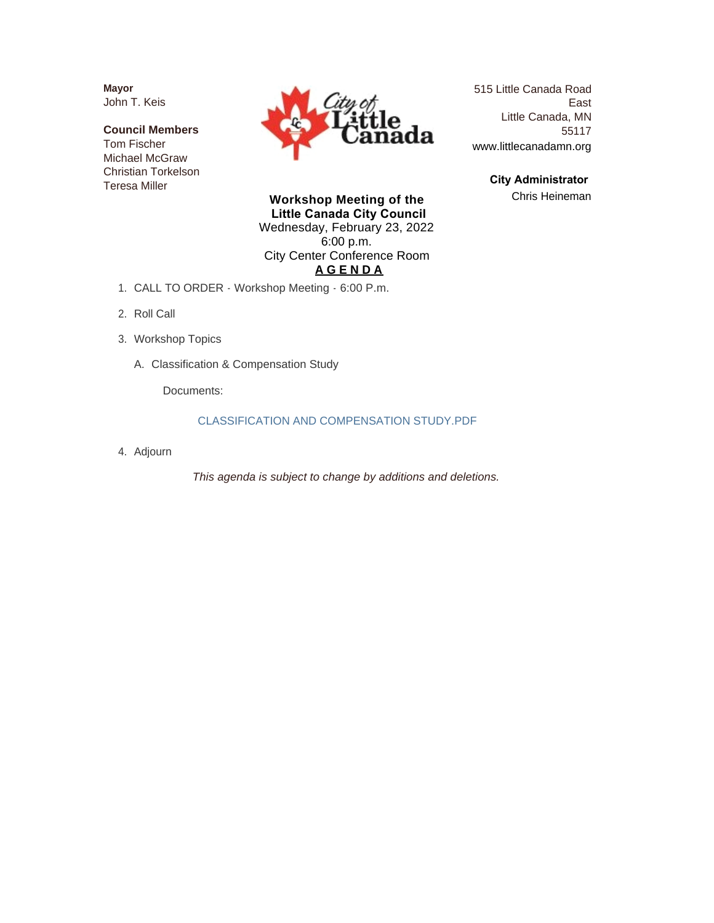**Mayor** John T. Keis

**Council Members** Tom Fischer Michael McGraw Christian Torkelson Teresa Miller



515 Little Canada Road East Little Canada, MN 55117 www.littlecanadamn.org

> **City Administrator**  Chris Heineman

**Workshop Meeting of the Little Canada City Council** Wednesday, February 23, 2022 6:00 p.m. City Center Conference Room **A G E N D A**

- CALL TO ORDER Workshop Meeting 6:00 P.m. 1.
- 2. Roll Call
- Workshop Topics 3.
	- A. Classification & Compensation Study

Documents:

#### CLASSIFICATION AND COMPENSATION STUDY.PDF

Adjourn 4.

*This agenda is subject to change by additions and deletions.*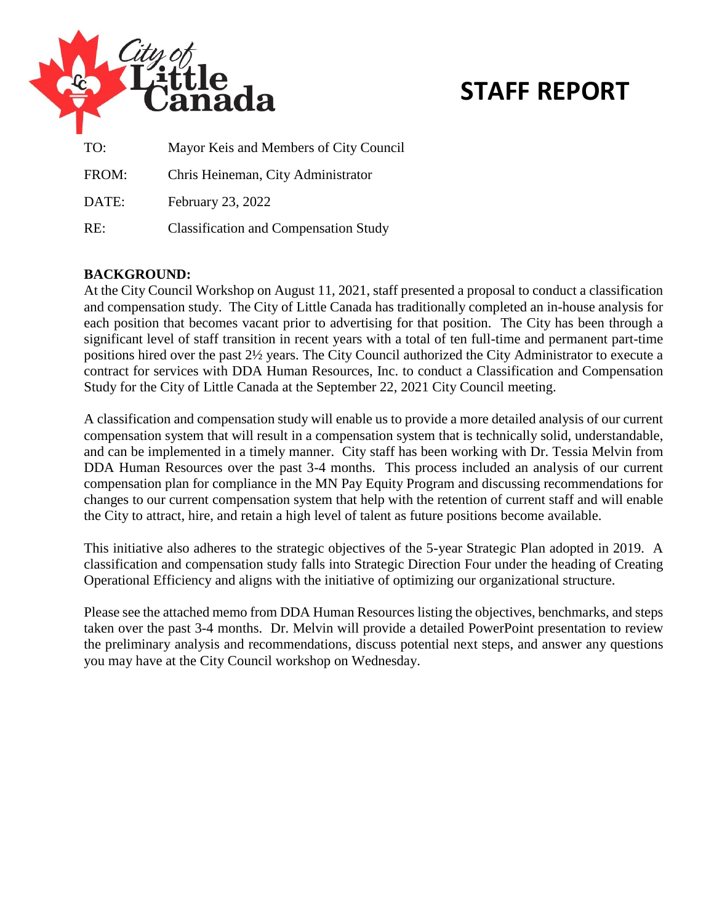

# **STAFF REPORT**

| TO:   | Mayor Keis and Members of City Council       |
|-------|----------------------------------------------|
| FROM: | Chris Heineman, City Administrator           |
| DATE: | February 23, 2022                            |
| RE:   | <b>Classification and Compensation Study</b> |

## **BACKGROUND:**

At the City Council Workshop on August 11, 2021, staff presented a proposal to conduct a classification and compensation study. The City of Little Canada has traditionally completed an in-house analysis for each position that becomes vacant prior to advertising for that position. The City has been through a significant level of staff transition in recent years with a total of ten full-time and permanent part-time positions hired over the past 2½ years. The City Council authorized the City Administrator to execute a contract for services with DDA Human Resources, Inc. to conduct a Classification and Compensation Study for the City of Little Canada at the September 22, 2021 City Council meeting.

A classification and compensation study will enable us to provide a more detailed analysis of our current compensation system that will result in a compensation system that is technically solid, understandable, and can be implemented in a timely manner. City staff has been working with Dr. Tessia Melvin from DDA Human Resources over the past 3-4 months. This process included an analysis of our current compensation plan for compliance in the MN Pay Equity Program and discussing recommendations for changes to our current compensation system that help with the retention of current staff and will enable the City to attract, hire, and retain a high level of talent as future positions become available.

This initiative also adheres to the strategic objectives of the 5-year Strategic Plan adopted in 2019. A classification and compensation study falls into Strategic Direction Four under the heading of Creating Operational Efficiency and aligns with the initiative of optimizing our organizational structure.

Please see the attached memo from DDA Human Resources listing the objectives, benchmarks, and steps taken over the past 3-4 months. Dr. Melvin will provide a detailed PowerPoint presentation to review the preliminary analysis and recommendations, discuss potential next steps, and answer any questions you may have at the City Council workshop on Wednesday.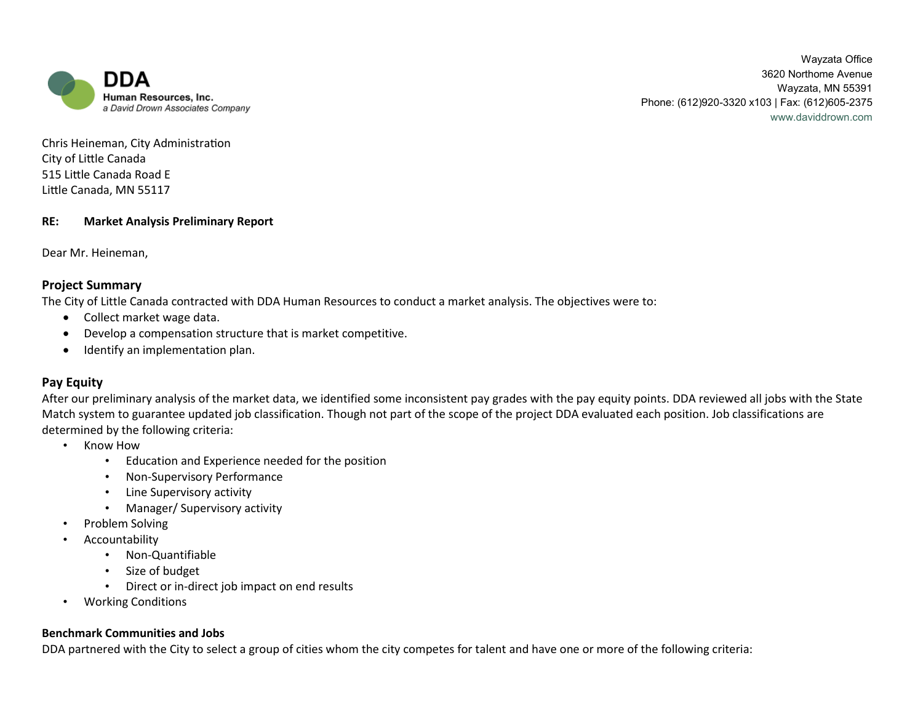

Wayzata Office 3620 Northome Avenue Wayzata, MN 55391 Phone: (612)920-3320 x103 | Fax: (612)605-2375 www.daviddrown.com

Chris Heineman, City Administration City of Little Canada 515 Little Canada Road E Little Canada, MN 55117

#### **RE: Market Analysis Preliminary Report**

Dear Mr. Heineman,

#### **Project Summary**

The City of Little Canada contracted with DDA Human Resources to conduct a market analysis. The objectives were to:

- Collect market wage data.
- Develop a compensation structure that is market competitive.
- Identify an implementation plan.

## **Pay Equity**

After our preliminary analysis of the market data, we identified some inconsistent pay grades with the pay equity points. DDA reviewed all jobs with the State Match system to guarantee updated job classification. Though not part of the scope of the project DDA evaluated each position. Job classifications are determined by the following criteria:

- Know How
	- Education and Experience needed for the position
	- Non-Supervisory Performance
	- Line Supervisory activity
	- Manager/ Supervisory activity
- Problem Solving
- Accountability
	- Non-Quantifiable
	- Size of budget
	- Direct or in-direct job impact on end results
- Working Conditions

#### **Benchmark Communities and Jobs**

DDA partnered with the City to select a group of cities whom the city competes for talent and have one or more of the following criteria: